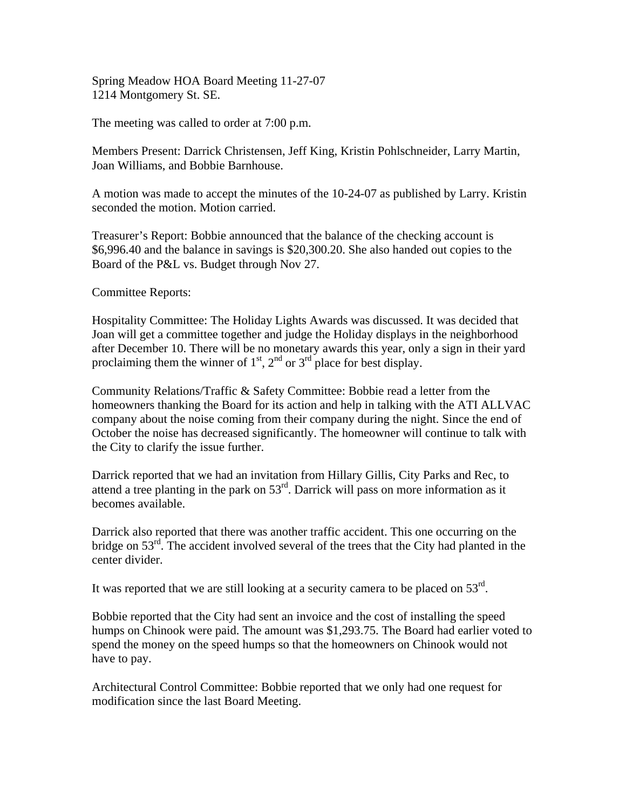Spring Meadow HOA Board Meeting 11-27-07 1214 Montgomery St. SE.

The meeting was called to order at 7:00 p.m.

Members Present: Darrick Christensen, Jeff King, Kristin Pohlschneider, Larry Martin, Joan Williams, and Bobbie Barnhouse.

A motion was made to accept the minutes of the 10-24-07 as published by Larry. Kristin seconded the motion. Motion carried.

Treasurer's Report: Bobbie announced that the balance of the checking account is \$6,996.40 and the balance in savings is \$20,300.20. She also handed out copies to the Board of the P&L vs. Budget through Nov 27.

Committee Reports:

Hospitality Committee: The Holiday Lights Awards was discussed. It was decided that Joan will get a committee together and judge the Holiday displays in the neighborhood after December 10. There will be no monetary awards this year, only a sign in their yard proclaiming them the winner of  $1<sup>st</sup>$ ,  $2<sup>nd</sup>$  or  $3<sup>rd</sup>$  place for best display.

Community Relations/Traffic & Safety Committee: Bobbie read a letter from the homeowners thanking the Board for its action and help in talking with the ATI ALLVAC company about the noise coming from their company during the night. Since the end of October the noise has decreased significantly. The homeowner will continue to talk with the City to clarify the issue further.

Darrick reported that we had an invitation from Hillary Gillis, City Parks and Rec, to attend a tree planting in the park on  $53<sup>rd</sup>$ . Darrick will pass on more information as it becomes available.

Darrick also reported that there was another traffic accident. This one occurring on the bridge on 53<sup>rd</sup>. The accident involved several of the trees that the City had planted in the center divider.

It was reported that we are still looking at a security camera to be placed on  $53<sup>rd</sup>$ .

Bobbie reported that the City had sent an invoice and the cost of installing the speed humps on Chinook were paid. The amount was \$1,293.75. The Board had earlier voted to spend the money on the speed humps so that the homeowners on Chinook would not have to pay.

Architectural Control Committee: Bobbie reported that we only had one request for modification since the last Board Meeting.